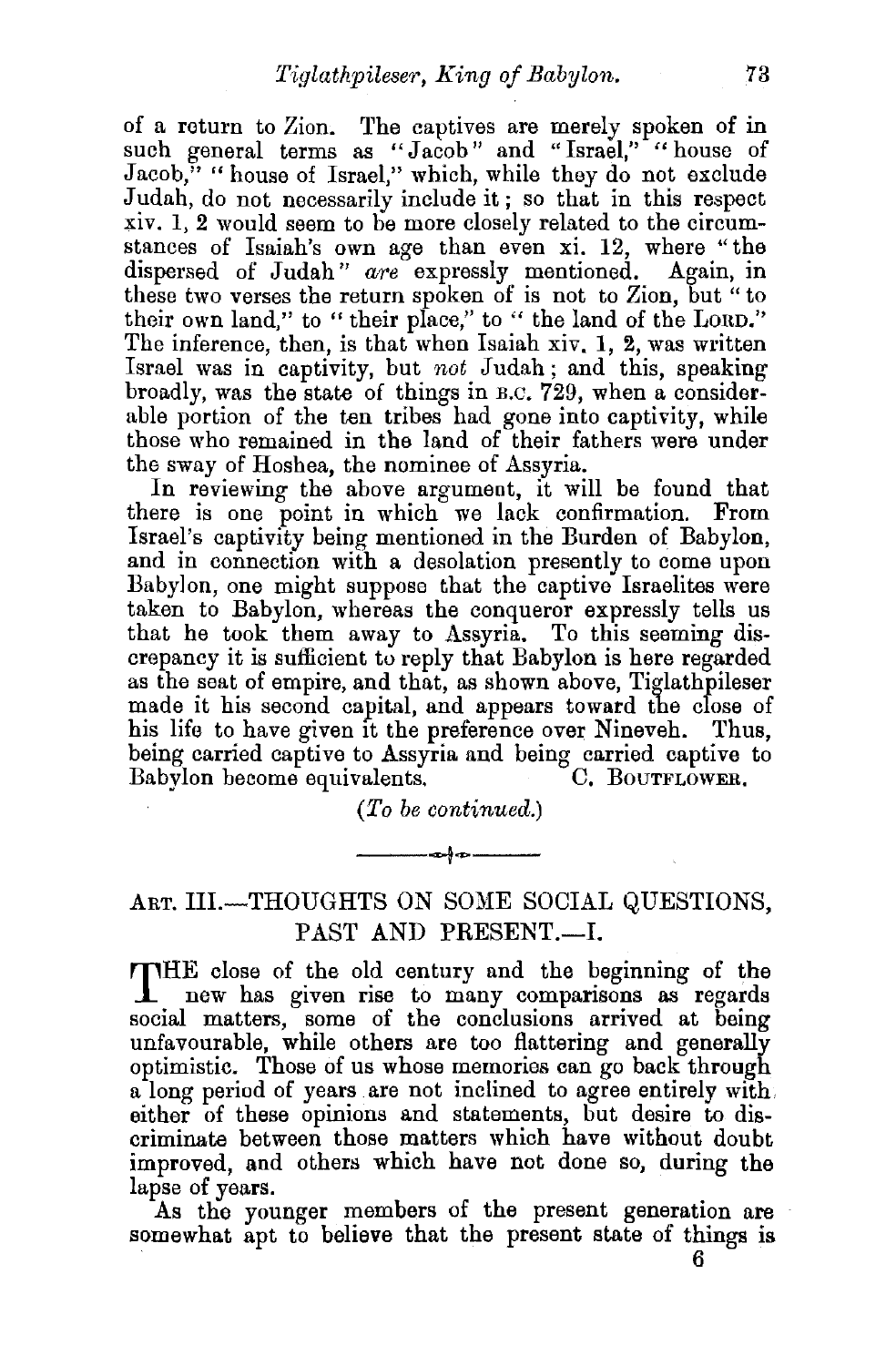of a return to Zion. 'The captives are merely spoken of in such general terms as "Jacob" and "Israel," "house of Jacob," "house of Israel," which, while they do not exclude Judah, do not necessarily include it ; so that in this respect xiv. 1, 2 would seem to be more closely related to the circumstances of Isaiah's own age than even xi. 12, where "the dispersed of Judah" *are* expressly mentioned. Again, in these two verses the return spoken of is not to Zion, but " to their own land," to " their place," to " the land of the LORD." The inference, then, is that when Isaiah xiv. 1, 2, was written Israel was in captivity, but *not* Judah; and this, speaking broadly, was the state of things in B.c. 729, when a considerable portion of the ten tribes had gone into captivity, while those who remained in the land of their fathers were under the sway of Hoshea, the nominee of Assyria.

In reviewing the above argument, it will be found that there is one point in which we lack confirmation. From Israel's captivity being mentioned in the Burden of Babylon, and in connection with a desolation presently to come upon Babylon, one might suppose that the captive Israelites were taken to Babylon, whereas the conqueror expressly tells us that he took them away to Assyria. To this seeming discrepancy it is sufficient to reply that Babylon is here regarded as the seat of empire, and that, as shown above, Tiglathpileser made it his second capital, and appears toward the close of his life to have given 1t the preference over Nineveh. Thus, being carried captive to Assyria and being carried captive to Babylon become equivalents. C. BourrLowER. Babylon become equivalents.

*(To be continued.)* 

----t----

## ART. III.-THOUGHTS ON SOME SOCIAL QUESTIONS. PAST AND PRESENT.--I.

THE close of the old century and the beginning of the new has given rise to many comparisons as regards social matters, some of the conclusions arrived at being unfavourable, while others are too flattering and generally optimistic. Those of us whose memories can go back through a long period of years are not inclined to agree entirely with either of these opinions and statements, but desire to discriminate between those matters which have without doubt improved, and others which have not done so, during the lapse of years.

As the younger members of the present generation are somewhat apt to believe that the present state of things is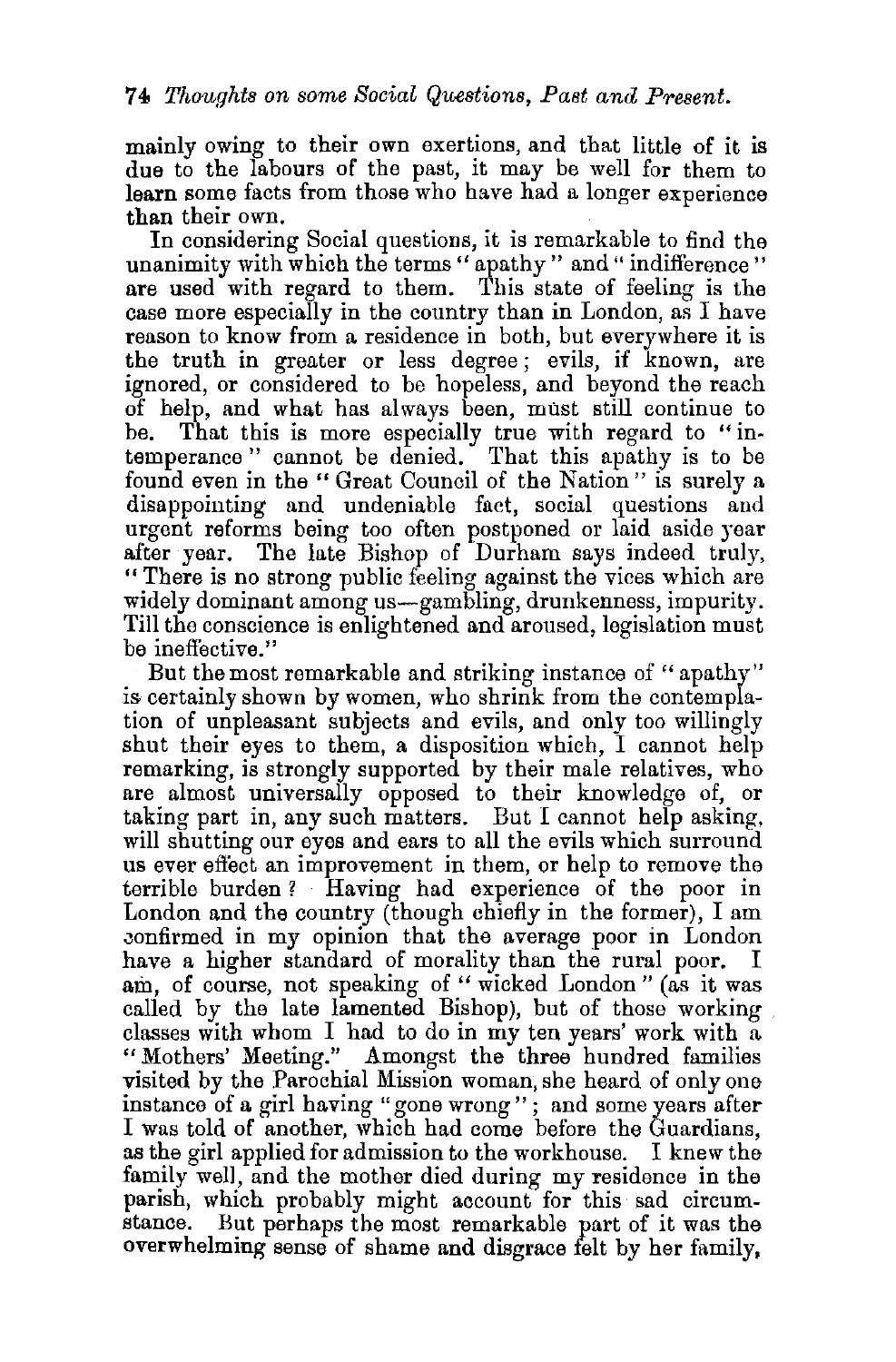mainly owing to their own exertions, and that little of it is due to the labours of the past, it may be well for them to learn some facts from those who have had a longer experience

than their own.<br>In considering Social questions, it is remarkable to find the unanimity with which the terms "apathy" and "indifference" are used with regard to them. This state of feeling is the case more especially in the country than in London, as I have reason to know from a residence in both, but everywhere it is the truth in greater or less degree ; evils, if known, are ignored, or considered to be hopeless, and beyond the reach of help, and what has always been, must still continue to be. That this is more especially true with regard to " intemperance " cannot be denied. That this apathy is to be found even in the "Great Council of the Nation" is surely a disappointing and undeniable fact, social questions and urgent reforms being too often postponed or laid aside year after year. The late Bishop of Durham says indeed truly, "There is no strong public feeling against the vices which are widely dominant among us—gambling, drunkenness, impurity. Till the conscience is enlightened and aroused, legislation must be ineffective."

But the most remarkable and striking instance of " apathy" is certainly shown by women, who shrink from the contemplation of unpleasant subjects and evils, and only too willingly shut their eyes to them, a disposition which, I cannot help remarking, is strongly supported by their male relatives, who are almost universally opposed to their knowledge of, or taking part in, any such matters. But I cannot help asking, will shutting our eyes and ears to all the evils which surround us ever eflect an improvement in them, or help to remove the terrible burden ? Having had experience of the poor in London and the country (though chiefly in the former), I am Jonfirmed in my opinion that the average poor in London have a higher standard of morality than the rural poor. I am, of course, not speaking of "wicked London" (as it was called by the late lamented Bishop), but of those working classes with whom I had to do in my ten years' work with a "Mothers' Meeting." Amongst the three hundred families visited by the Parochial Mission woman, she heard of only one instance of a girl having "gone wrong" ; and some years after I was told of another, which had come before the Guardians, as the girl applied for admission to the workhouse. I knew the family wel1, and the mother died during my residence in the parish, which probably might account for this sad circumstance. But perhaps the most remarkable part of it was the overwhelming sense of shame and disgrace felt by her family,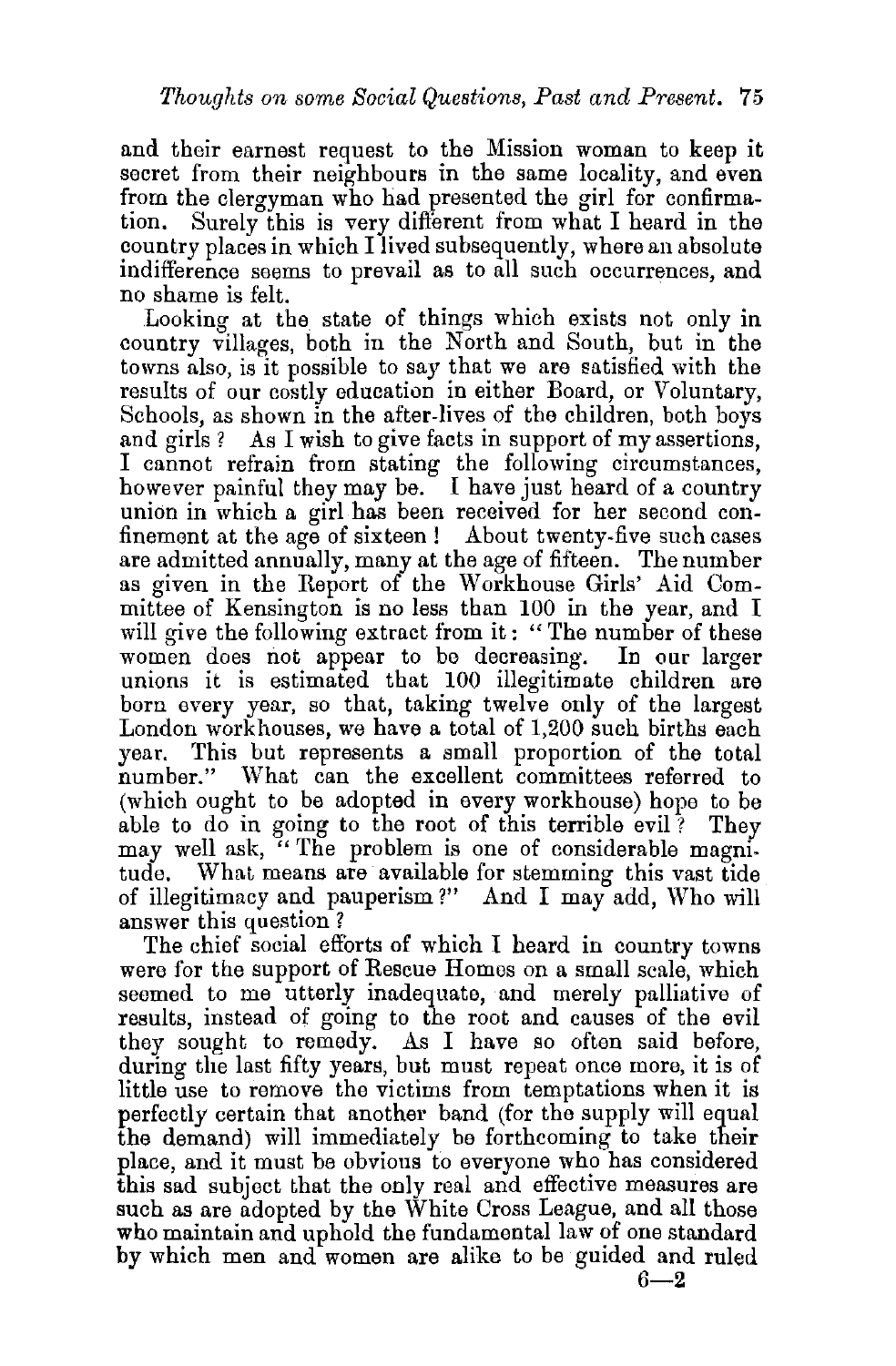and their earnest request to the Mission woman to keep it secret from their neighbours in the same locality, and even from the clergyman who had presented the girl for confirmation. Surely this is very different from what I heard in the country places in which I lived subsequently, where an absolute indifference seems to prevail as to all such occurrences, and

no shame is felt.<br>Looking at the state of things which exists not only in country villages, both in the North and South, but in the towns also, is it possible to say that we are satisfied with the results of our costly education in either Board, or Voluntary, Schools, as shown in the after-lives of the children, both boys and girls ? As I wish to give facts in support of my assertions, I cannot refrain from stating the following circumstances, however painful they may be. I have just heard of a country union in which a girl has been received for her second confinement at the age of sixteen ! About twenty-five such cases are admitted annually, many at the age of fifteen. The number as given in the Heport of the Workhouse Girls' Aid Committee of Kensington is no less than 100 in the year, and I will give the following extract from it: "The number of these women does not appear to be decreasing. In our larger unions it is estimated that 100 illegitimate children are born every year, so that, taking twelve only of the largest London workhouses, we have a total of 1,200 such births each year. This but represents a small proportion of the total number." What can the excellent committees referred to (which ought to be adopted in every workhouse) hope to be able to do in going to the root of this terrible evil ? They may well ask, "The problem is one of considerable magnitude. What means are available for stemming this vast tide of illegitimacy and pauperism?" And I may add, Who will answer this question ?

The chief social efforts of which I heard in country towns were for the support of Rescue Homes on a small scale, which seemed to me utterly inadequate, and merely palliative of results, instead of going to the root and causes of the evil they sought to remedy. As I have so often said before, during the last fifty years, but must repeat once more, it is of little use to remove the victims from temptations when it is perfectly certain that another band (for the supply will equal the demand) will immediately be forthcoming to take their place, and it must be obvious to everyone who has considered this sad subject that the only real and effective measures are such as are adopted by the White Cross League, and all those who maintain and uphold the fundamental law of one standard by which men and women are alike to be guided and ruled  $6 - 2$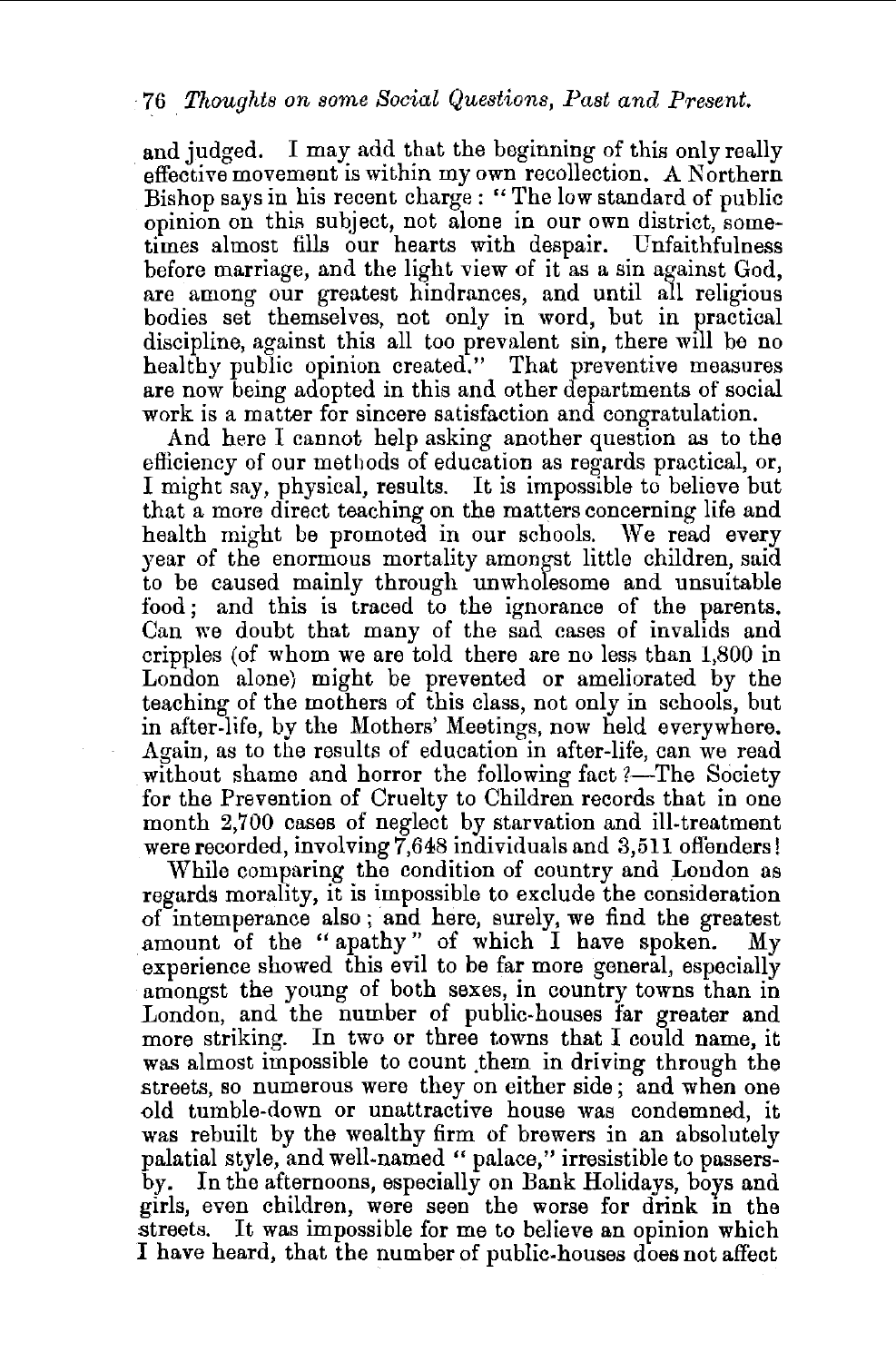and judged. I may add that the beginning of this only really effective movement is within my own recollection. A Northern Bishop says in his recent charge : " The low standard of public opinion on this subject, not alone in our own district, sometimes almost fills our hearts with despair. Unfaithfulness before marriage, and the light view of it as a sin against God. are among our greatest hindrances, and until all religious bodies set themselves, not only in word, but in practical discipline, against this all too prevalent sin, there will be no healthy public opinion created." That preventive measures are now being adopted in this and other departments of social work is a matter for sincere satisfaction and congratulation.

And here I cannot help asking another question as to the efficiency of our methods of education as regards practical, or, I might say, physical, results. It is impossible to believe but that a more direct teaching on the matters concerning life and health might be promoted in our schools. We read every year of the enormous mortality amongst little children, said to be caused mainly through unwholesome and unsuitable food; and this is traced to the ignorance of the parents. Can we doubt that many of the sad cases of invalids and cripples (of whom we are told there are no less than 1,800 in London alone) might be prevented or ameliorated by the teaching of the mothers of this class, not only in schools, but in after-life, by the Mothers' Meetings, now held everywhere. Again, as to the results of education in after-life, can we read without shame and horror the following fact ?-The Society for the Prevention of Cruelty to Children records that in one month 2,700 cases of neglect by starvation and ill-treatment were recorded, involving 7,648 individuals and 3,511 offenders!

While comparing the condition of country and London as regards morality, it is impossible to exclude the consideration of intemperance also ; and here, surely, we find the greatest amount of the "apathy" of which I have spoken. My experience showed this evil to be far more general, especially amongst the young of both sexes, in country towns than in London, and the number of public-houses far greater and more striking. In two or three towns that I could name, it was almost impossible to count them in driving through the streets, so numerous were they on either side; and when one old tumble-down or unattractive house was condemned, it was rebuilt by the wealthy firm of brewers in an absolutely palatial style, and well-named " palace," irresistible to passersby. In the afternoons, especially on Bank Holidays, boys and girls, even children, were seen the worse for drink in the streets. It was impossible for me to believe an opinion which I have heard, that the number of public-houses does not affect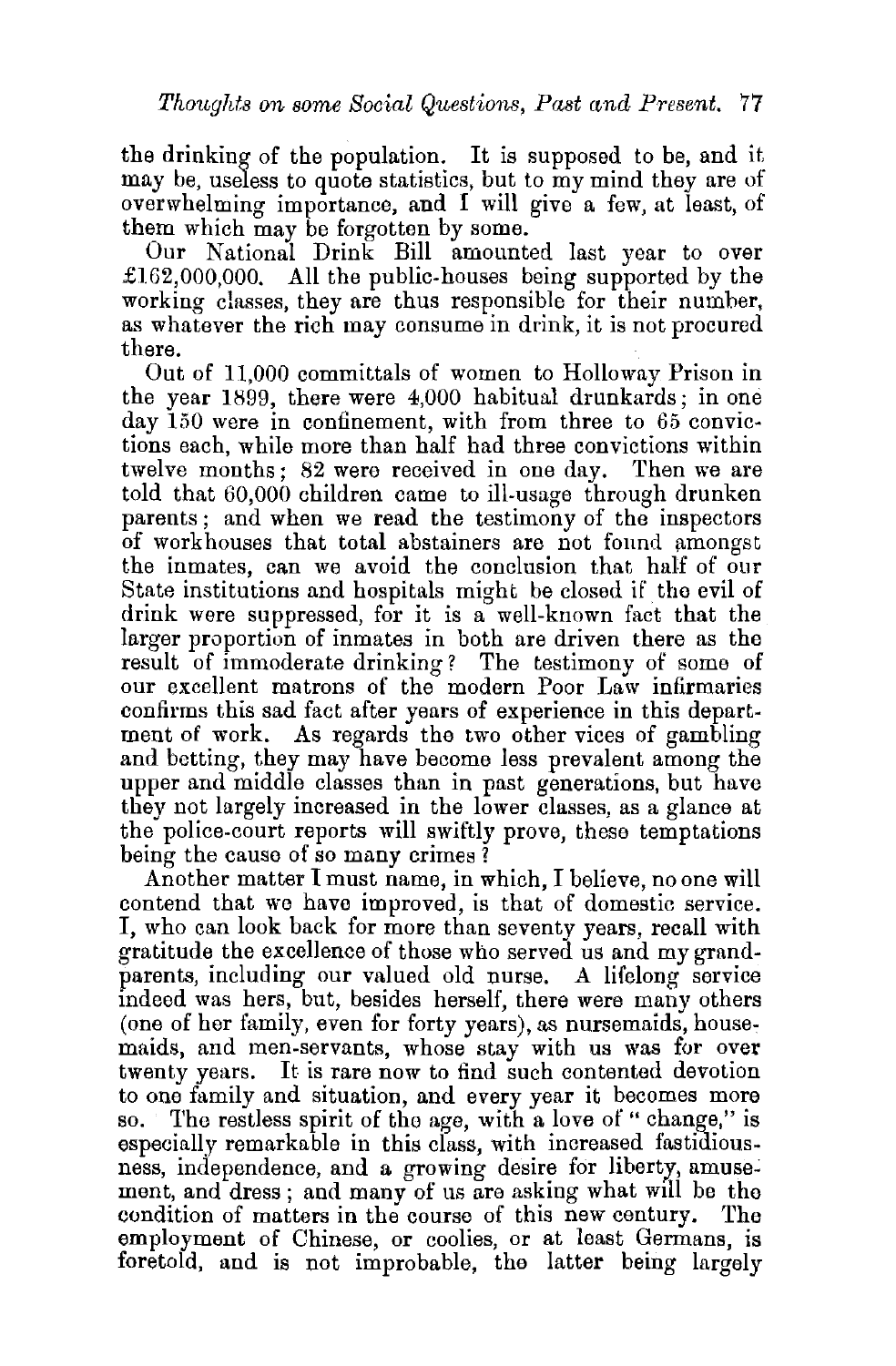the drinking of the population. It is supposed to be, and it may be, useless to quote statistics, but to my mind they are of overwhelming importance, and I will give a few, at least, of them which may be forgotten by some.

Our National Drink Bill amounted last year to over  $\pounds162,000,000$ . All the public-houses being supported by the working classes, they are thus responsible for their number, as whatever the rich may consume in drink, it is not procured there.

Out of 11,000 committals of women to Holloway Prison in the year 1899, there were 4,000 habitual drunkards; in one day 150 were in confinement, with from three to 65 convictions each, while more than half had three convictions within twelve months; 82 were received in one day. Then we are told that 60,000 children came to ill-usage through drunken parents ; and when we read the testimony of the inspectors of workhouses that total abstainers are not found amongst the inmates, can we avoid the conclusion that half of our State institutions and hospitals might be closed if the evil of drink were suppressed, for it is a well-known fact that the larger proportion of inmates in both are driven there as the result of immoderate drinking? The testimony of some of our excellent matrons of the modern Poor Law infirmaries confirms this sad fact after years of experience in this department of work. As regards the two other vices of gambling and betting, they may have become less prevalent among the upper and middle classes than in past generations, but have they not largely increased in the lower classes, as a glance at the police-court reports will swiftly prove, these temptations being the cause of so many crimes ?

Another matter I must name, in which, I believe, no one will contend that we have improved, is that of domestic service. I, who can look back for more than seventy years, recall with gratitude the excellence of those who served us and my grandparents, including our valued old nurse. A lifelong service mdeed was hers, but, besides herself, there were many others (one of her family, even for forty years), as nursemaids, housemaids, and men-servants, whose stay with us was for over twenty years. It is rare now to find such contented devotion to one family and situation, and every year it becomes more so. The restless spirit of the age, with a love of " change," is especially remarkable in this class, with increased fastidiousness, independence, and a growing desire for liberty, amusement, and dress; and many of us are asking what will be the condition of matters in the course of this new century. The employment of Chinese, or coolies, or at least Germans, is foretold, and is not improbable, the latter being largely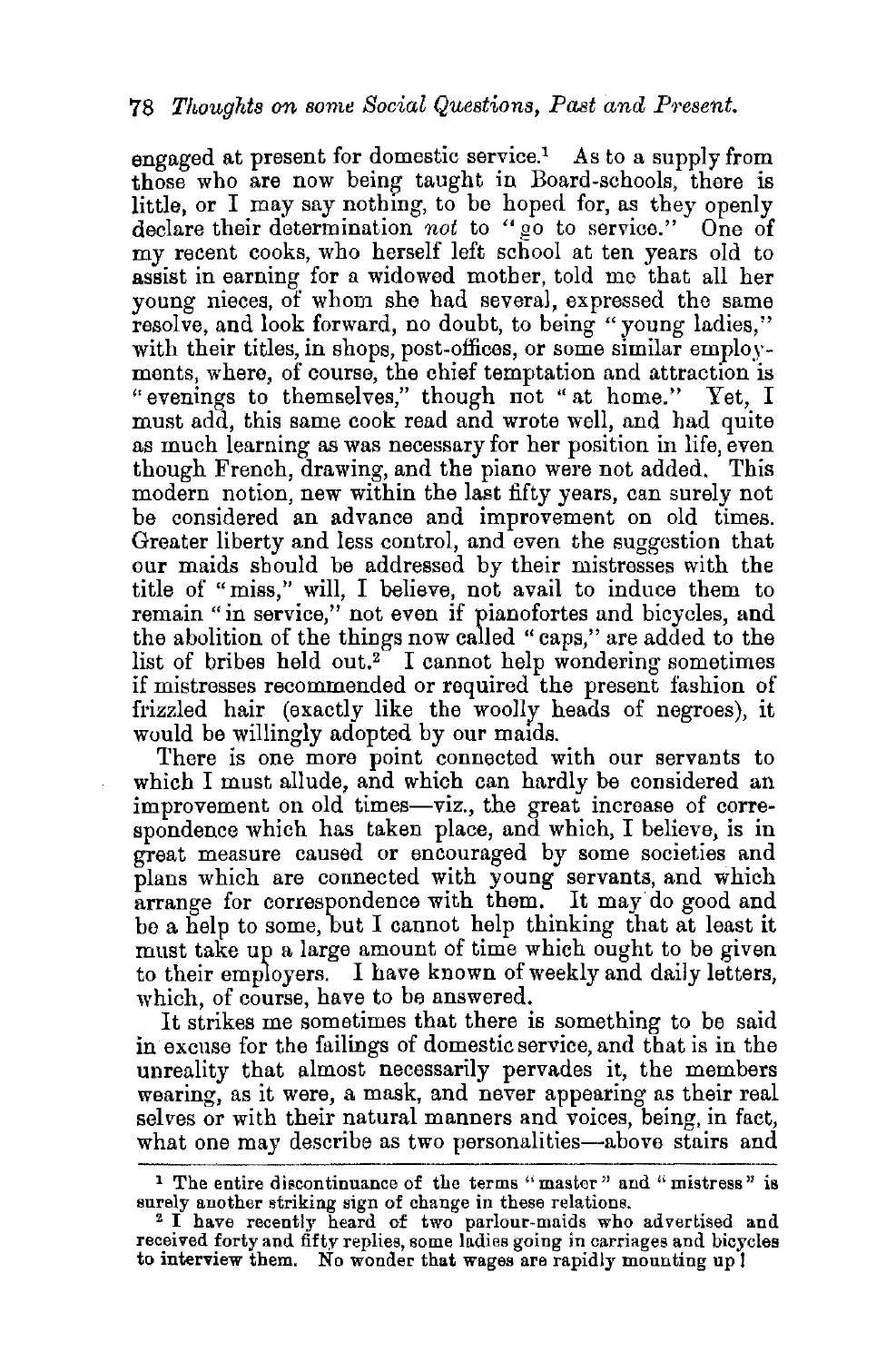engaged at present for domestic service.<sup>1</sup> As to a supply from those who are now being taught in Board-schools, there is little, or I may say nothing, to be hoped for, as they openly declare their determination *not* to "go to service." One of my recent cooks, who herself left school at ten years old to assist in earning for a widowed mother, told me that all her young nieces, of whom she had several, expressed the same resolve, and look forward, no doubt, to being "young ladies," with their titles, in shops, post-offices, or some similar employments, where, of course, the chief temptation and attraction is "evenings to themselves," though not "at home." Yet, I must add, this same cook read and wrote well, and had quite as much learning as was necessary for her position in life, even though French, drawing, and the piano were not added. This modern notion, new within the last fifty years, can surely not be considered an advance and improvement on old times. Greater liberty and less control, and even the suggestion that our maids should be addressed by their mistresses with the title of "miss," will, I believe, not avail to induce them to remain "in service," not even if pianofortes and bicycles, and the abolition of the things now called "caps," are added to the list of bribes held out.<sup>2</sup> I cannot help wondering sometimes if mistresses recommended or required the present fashion of frizzled hair (exactly like the woolly heads of negroes), it would be willingly adopted by our maids.

There is one more point connected with our servants to which I must allude, and which can hardly be considered an improvement on old times-viz., the great increase of correspondence which has taken place, and which, I believe, is in great measure caused or encouraged by some societies and plans which are connected with young servants, and which arrange for correspondence with them. It may do good and be a help to some, but I cannot help thinking that at least it must take up a large amount of time which ought to be given to their employers. I have known of weekly and daily letters, which, of course, have to be answered.

It strikes me sometimes that there is something to be said in excuse for the failings of domestic service, and that is in the unreality that almost necessarily pervades it, the members wearing, as it were, a mask, and never appearing as their real selves or with their natural manners and voices, being, in fact, what one may describe as two personalities—above stairs and

<sup>&</sup>lt;sup>1</sup> The entire discontinuance of the terms "master" and "mistress" is surely another striking sign of change in these relations.

<sup>&</sup>lt;sup>2</sup> I have recently heard of two parlour-maids who advertised and received forty and fifty replies, some ladies going in carriages and bicycles to interview them. No wonder that wages are rapidly mounting up 1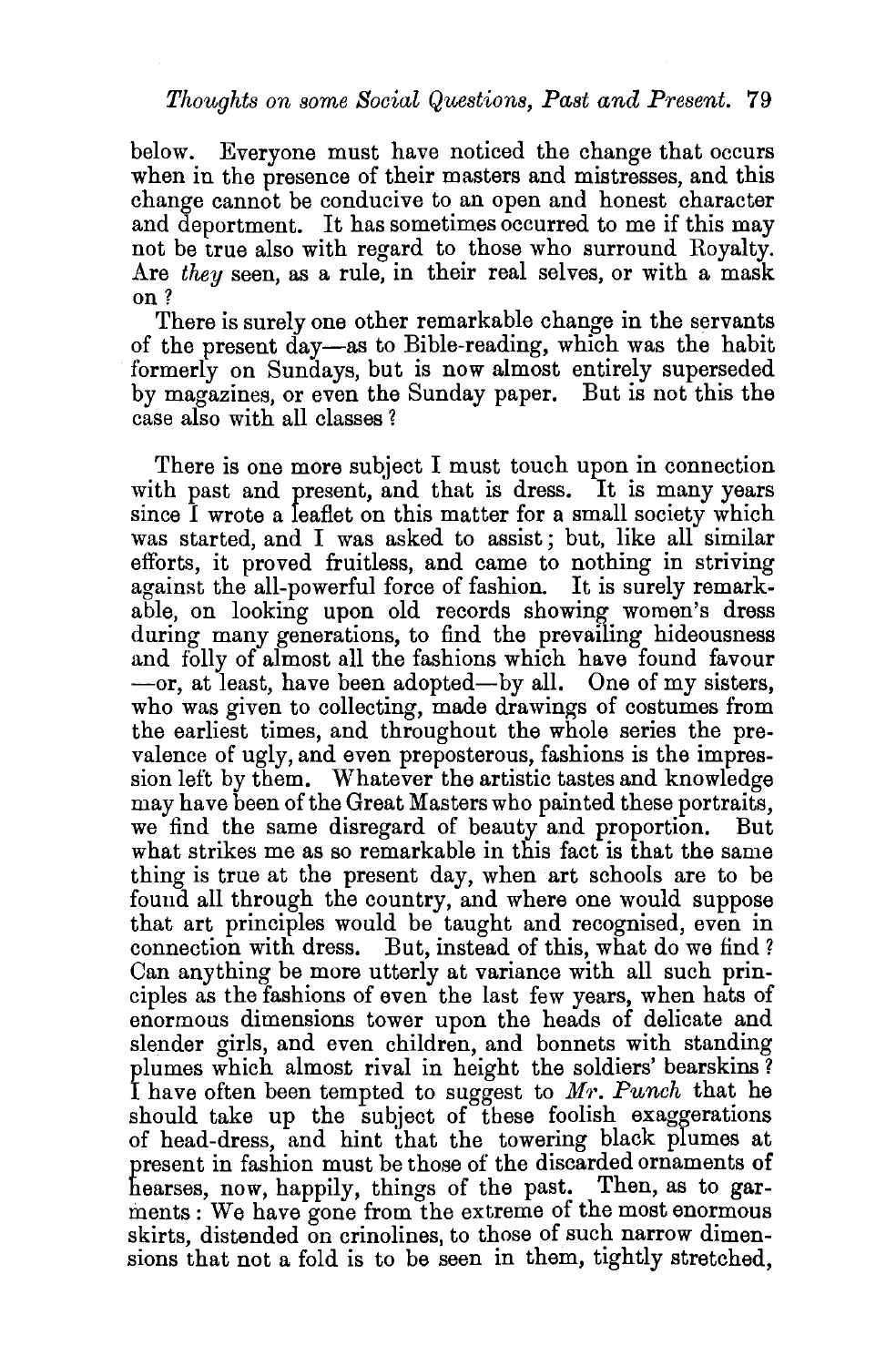below. Everyone must have noticed the change that occurs when in the presence of their masters and mistresses, and this change cannot be conducive to an open and honest character and deportment. It has sometimes occurred to me if this may not be true also with regard to those who surround Royalty. Are *they* seen, as a rule, in their real selves, or with a mask on?

There is surely one other remarkable change in the servants of the present day-as to Bible-reading, which was the habit formerly on Sundays, but is now almost entirely superseded by magazines, or even the Sunday paper. But is not this the case also with all classes ?

There is one more subject I must touch upon in connection with past and present, and that is dress. It is many years since *l* wrote a leaflet on this matter for a small society which was started, and I was asked to assist; but, like all similar efforts, it proved fruitless, and came to nothing in striving against the all-powerful force of fashion. It is surely remarkable, on looking upon old records showing women's dress during many generations, to find the prevailing hideousness and folly of almost all the fashions which have found favour  $-$ or, at least, have been adopted $-$ by all. One of my sisters, who was given to collecting, made drawings of costumes from the earliest times, and throughout the whole series the prevalence of ugly, and even preposterous, fashions is the impression left by them. Whatever the artistic tastes and knowledge may have been of the Great Masters who painted these portraits, we find the same disregard of beauty and proportion. But what strikes me as so remarkable in this fact is that the same thing is true at the present day, when art schools are to be found all through the country, and where one would suppose that art principles would be taught and recognised, even in connection with dress. But, instead of this, what do we find? Can anything be more utterly at variance with all such principles as the fashions of even the last few years, when hats of enormous dimensions tower upon the heads of delicate and slender girls, and even children, and bonnets with standing plumes which almost rival in height the soldiers' bearskins? I have often been tempted to suggest to Mr. Punch that he should take up the subject of these foolish exaggerations of head-dress, and hint that the towering black plumes at present in fashion must be those of the discarded ornaments of hearses, now, happily, things of the past. Then, as to garments : We have gone from the extreme of the most enormous skirts, distended on crinolines, to those of such narrow dimensions that not a fold is to be seen in them, tightly stretched,